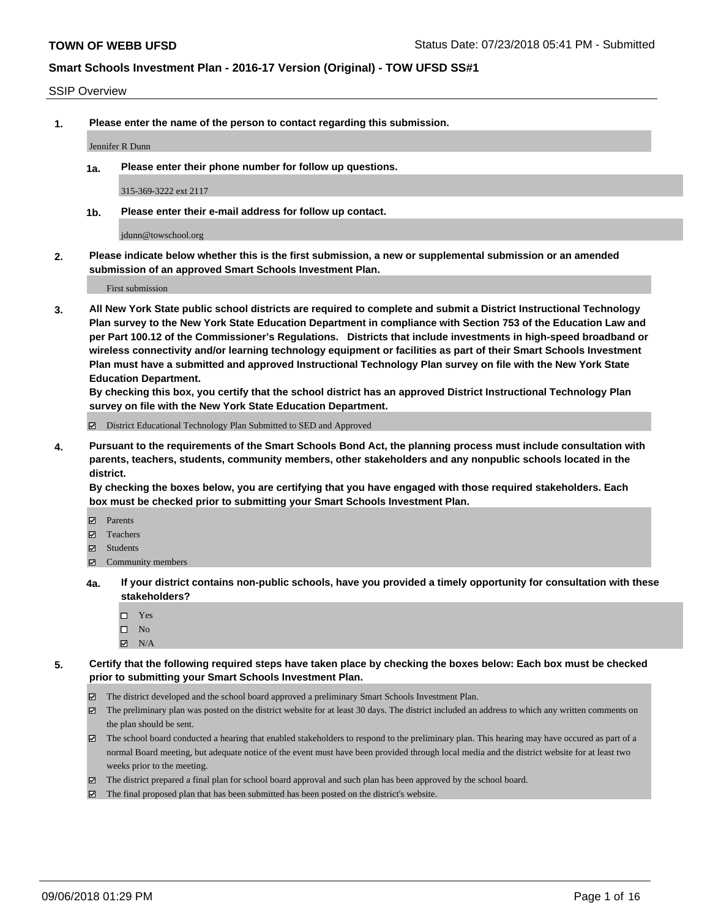#### SSIP Overview

**1. Please enter the name of the person to contact regarding this submission.**

Jennifer R Dunn

**1a. Please enter their phone number for follow up questions.**

315-369-3222 ext 2117

**1b. Please enter their e-mail address for follow up contact.**

jdunn@towschool.org

**2. Please indicate below whether this is the first submission, a new or supplemental submission or an amended submission of an approved Smart Schools Investment Plan.**

First submission

**3. All New York State public school districts are required to complete and submit a District Instructional Technology Plan survey to the New York State Education Department in compliance with Section 753 of the Education Law and per Part 100.12 of the Commissioner's Regulations. Districts that include investments in high-speed broadband or wireless connectivity and/or learning technology equipment or facilities as part of their Smart Schools Investment Plan must have a submitted and approved Instructional Technology Plan survey on file with the New York State Education Department.** 

**By checking this box, you certify that the school district has an approved District Instructional Technology Plan survey on file with the New York State Education Department.**

District Educational Technology Plan Submitted to SED and Approved

**4. Pursuant to the requirements of the Smart Schools Bond Act, the planning process must include consultation with parents, teachers, students, community members, other stakeholders and any nonpublic schools located in the district.** 

**By checking the boxes below, you are certifying that you have engaged with those required stakeholders. Each box must be checked prior to submitting your Smart Schools Investment Plan.**

- **Parents**
- Teachers
- **☑** Students
- **☑** Community members
- **4a. If your district contains non-public schools, have you provided a timely opportunity for consultation with these stakeholders?**
	- □ Yes
	- $\square$  No
	- $\boxtimes$  N/A
- **5. Certify that the following required steps have taken place by checking the boxes below: Each box must be checked prior to submitting your Smart Schools Investment Plan.**
	- The district developed and the school board approved a preliminary Smart Schools Investment Plan.
	- $\boxtimes$  The preliminary plan was posted on the district website for at least 30 days. The district included an address to which any written comments on the plan should be sent.
	- The school board conducted a hearing that enabled stakeholders to respond to the preliminary plan. This hearing may have occured as part of a normal Board meeting, but adequate notice of the event must have been provided through local media and the district website for at least two weeks prior to the meeting.
	- The district prepared a final plan for school board approval and such plan has been approved by the school board.
	- The final proposed plan that has been submitted has been posted on the district's website.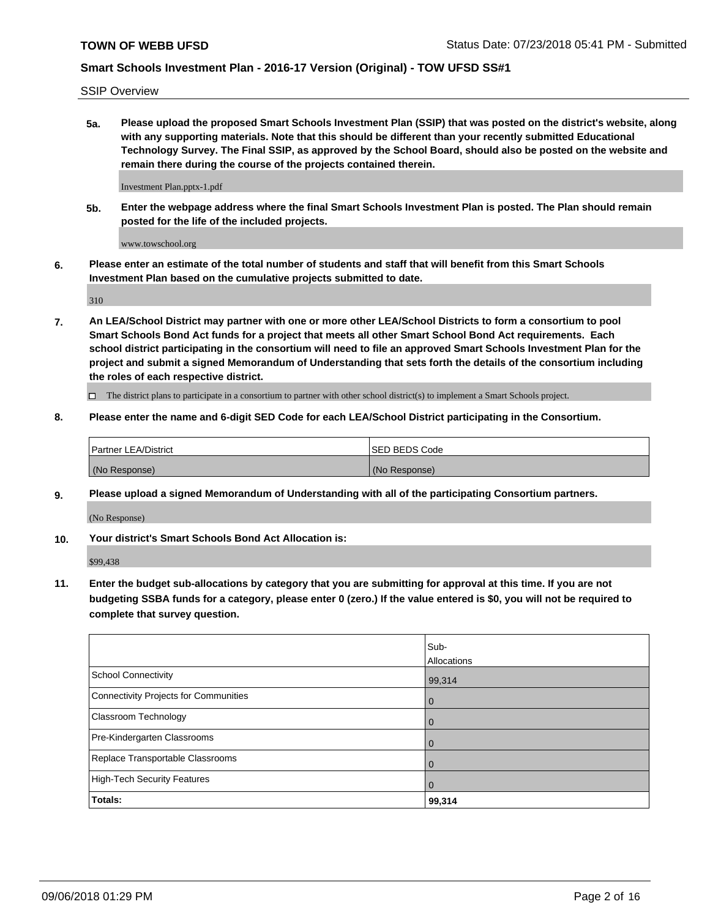SSIP Overview

**5a. Please upload the proposed Smart Schools Investment Plan (SSIP) that was posted on the district's website, along with any supporting materials. Note that this should be different than your recently submitted Educational Technology Survey. The Final SSIP, as approved by the School Board, should also be posted on the website and remain there during the course of the projects contained therein.**

Investment Plan.pptx-1.pdf

**5b. Enter the webpage address where the final Smart Schools Investment Plan is posted. The Plan should remain posted for the life of the included projects.**

www.towschool.org

**6. Please enter an estimate of the total number of students and staff that will benefit from this Smart Schools Investment Plan based on the cumulative projects submitted to date.**

310

**7. An LEA/School District may partner with one or more other LEA/School Districts to form a consortium to pool Smart Schools Bond Act funds for a project that meets all other Smart School Bond Act requirements. Each school district participating in the consortium will need to file an approved Smart Schools Investment Plan for the project and submit a signed Memorandum of Understanding that sets forth the details of the consortium including the roles of each respective district.**

 $\Box$  The district plans to participate in a consortium to partner with other school district(s) to implement a Smart Schools project.

#### **8. Please enter the name and 6-digit SED Code for each LEA/School District participating in the Consortium.**

| <b>Partner LEA/District</b> | <b>ISED BEDS Code</b> |
|-----------------------------|-----------------------|
| (No Response)               | (No Response)         |

#### **9. Please upload a signed Memorandum of Understanding with all of the participating Consortium partners.**

(No Response)

**10. Your district's Smart Schools Bond Act Allocation is:**

\$99,438

**11. Enter the budget sub-allocations by category that you are submitting for approval at this time. If you are not budgeting SSBA funds for a category, please enter 0 (zero.) If the value entered is \$0, you will not be required to complete that survey question.**

|                                       | Sub-<br>Allocations |
|---------------------------------------|---------------------|
| School Connectivity                   | 99,314              |
| Connectivity Projects for Communities | $\overline{0}$      |
| <b>Classroom Technology</b>           | $\overline{0}$      |
| Pre-Kindergarten Classrooms           | $\Omega$            |
| Replace Transportable Classrooms      | $\Omega$            |
| High-Tech Security Features           | $\Omega$            |
| <b>Totals:</b>                        | 99,314              |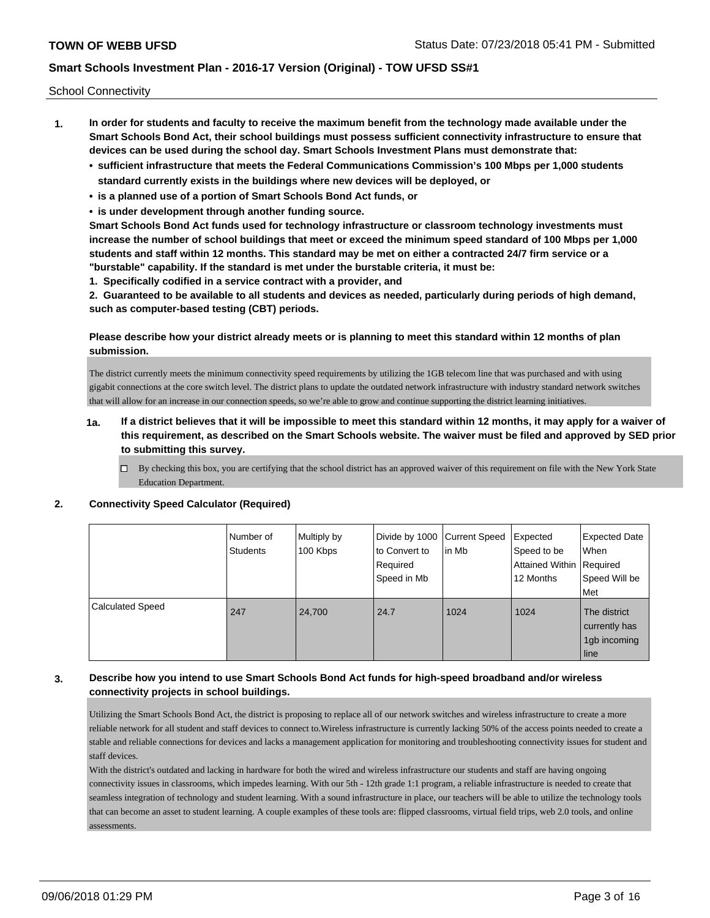School Connectivity

- **1. In order for students and faculty to receive the maximum benefit from the technology made available under the Smart Schools Bond Act, their school buildings must possess sufficient connectivity infrastructure to ensure that devices can be used during the school day. Smart Schools Investment Plans must demonstrate that:**
	- **• sufficient infrastructure that meets the Federal Communications Commission's 100 Mbps per 1,000 students standard currently exists in the buildings where new devices will be deployed, or**
	- **• is a planned use of a portion of Smart Schools Bond Act funds, or**
	- **• is under development through another funding source.**

**Smart Schools Bond Act funds used for technology infrastructure or classroom technology investments must increase the number of school buildings that meet or exceed the minimum speed standard of 100 Mbps per 1,000 students and staff within 12 months. This standard may be met on either a contracted 24/7 firm service or a "burstable" capability. If the standard is met under the burstable criteria, it must be:**

**1. Specifically codified in a service contract with a provider, and**

**2. Guaranteed to be available to all students and devices as needed, particularly during periods of high demand, such as computer-based testing (CBT) periods.**

### **Please describe how your district already meets or is planning to meet this standard within 12 months of plan submission.**

The district currently meets the minimum connectivity speed requirements by utilizing the 1GB telecom line that was purchased and with using gigabit connections at the core switch level. The district plans to update the outdated network infrastructure with industry standard network switches that will allow for an increase in our connection speeds, so we're able to grow and continue supporting the district learning initiatives.

- **1a. If a district believes that it will be impossible to meet this standard within 12 months, it may apply for a waiver of this requirement, as described on the Smart Schools website. The waiver must be filed and approved by SED prior to submitting this survey.**
	- $\Box$  By checking this box, you are certifying that the school district has an approved waiver of this requirement on file with the New York State Education Department.

|                         | l Number of<br>Students | Multiply by<br>100 Kbps | Divide by 1000 Current Speed<br>to Convert to<br>Required<br>Speed in Mb | In Mb | Expected<br>Speed to be<br>Attained Within Required<br>12 Months | <b>Expected Date</b><br>When<br>Speed Will be<br><b>Met</b> |
|-------------------------|-------------------------|-------------------------|--------------------------------------------------------------------------|-------|------------------------------------------------------------------|-------------------------------------------------------------|
| <b>Calculated Speed</b> | 247                     | 24,700                  | 24.7                                                                     | 1024  | 1024                                                             | The district<br>currently has<br>1gb incoming<br>line       |

#### **2. Connectivity Speed Calculator (Required)**

## **3. Describe how you intend to use Smart Schools Bond Act funds for high-speed broadband and/or wireless connectivity projects in school buildings.**

Utilizing the Smart Schools Bond Act, the district is proposing to replace all of our network switches and wireless infrastructure to create a more reliable network for all student and staff devices to connect to.Wireless infrastructure is currently lacking 50% of the access points needed to create a stable and reliable connections for devices and lacks a management application for monitoring and troubleshooting connectivity issues for student and staff devices.

With the district's outdated and lacking in hardware for both the wired and wireless infrastructure our students and staff are having ongoing connectivity issues in classrooms, which impedes learning. With our 5th - 12th grade 1:1 program, a reliable infrastructure is needed to create that seamless integration of technology and student learning. With a sound infrastructure in place, our teachers will be able to utilize the technology tools that can become an asset to student learning. A couple examples of these tools are: flipped classrooms, virtual field trips, web 2.0 tools, and online assessments.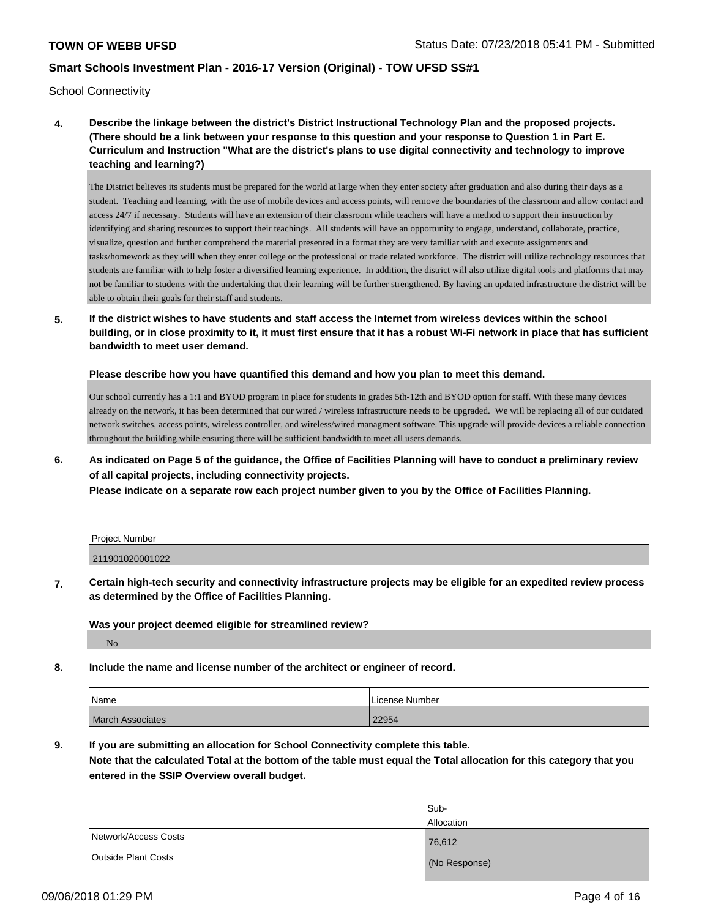School Connectivity

**4. Describe the linkage between the district's District Instructional Technology Plan and the proposed projects. (There should be a link between your response to this question and your response to Question 1 in Part E. Curriculum and Instruction "What are the district's plans to use digital connectivity and technology to improve teaching and learning?)**

The District believes its students must be prepared for the world at large when they enter society after graduation and also during their days as a student. Teaching and learning, with the use of mobile devices and access points, will remove the boundaries of the classroom and allow contact and access 24/7 if necessary. Students will have an extension of their classroom while teachers will have a method to support their instruction by identifying and sharing resources to support their teachings. All students will have an opportunity to engage, understand, collaborate, practice, visualize, question and further comprehend the material presented in a format they are very familiar with and execute assignments and tasks/homework as they will when they enter college or the professional or trade related workforce. The district will utilize technology resources that students are familiar with to help foster a diversified learning experience. In addition, the district will also utilize digital tools and platforms that may not be familiar to students with the undertaking that their learning will be further strengthened. By having an updated infrastructure the district will be able to obtain their goals for their staff and students.

**5. If the district wishes to have students and staff access the Internet from wireless devices within the school building, or in close proximity to it, it must first ensure that it has a robust Wi-Fi network in place that has sufficient bandwidth to meet user demand.**

**Please describe how you have quantified this demand and how you plan to meet this demand.**

Our school currently has a 1:1 and BYOD program in place for students in grades 5th-12th and BYOD option for staff. With these many devices already on the network, it has been determined that our wired / wireless infrastructure needs to be upgraded. We will be replacing all of our outdated network switches, access points, wireless controller, and wireless/wired managment software. This upgrade will provide devices a reliable connection throughout the building while ensuring there will be sufficient bandwidth to meet all users demands.

**6. As indicated on Page 5 of the guidance, the Office of Facilities Planning will have to conduct a preliminary review of all capital projects, including connectivity projects.**

**Please indicate on a separate row each project number given to you by the Office of Facilities Planning.**

| <b>Project Number</b> |  |
|-----------------------|--|
| 211901020001022       |  |

**7. Certain high-tech security and connectivity infrastructure projects may be eligible for an expedited review process as determined by the Office of Facilities Planning.**

**Was your project deemed eligible for streamlined review?**

No

**8. Include the name and license number of the architect or engineer of record.**

| Name                    | License Number |
|-------------------------|----------------|
| <b>March Associates</b> | 22954          |

**9. If you are submitting an allocation for School Connectivity complete this table.**

**Note that the calculated Total at the bottom of the table must equal the Total allocation for this category that you entered in the SSIP Overview overall budget.** 

|                            | Sub-              |
|----------------------------|-------------------|
|                            | <b>Allocation</b> |
| Network/Access Costs       | 76,612            |
| <b>Outside Plant Costs</b> | (No Response)     |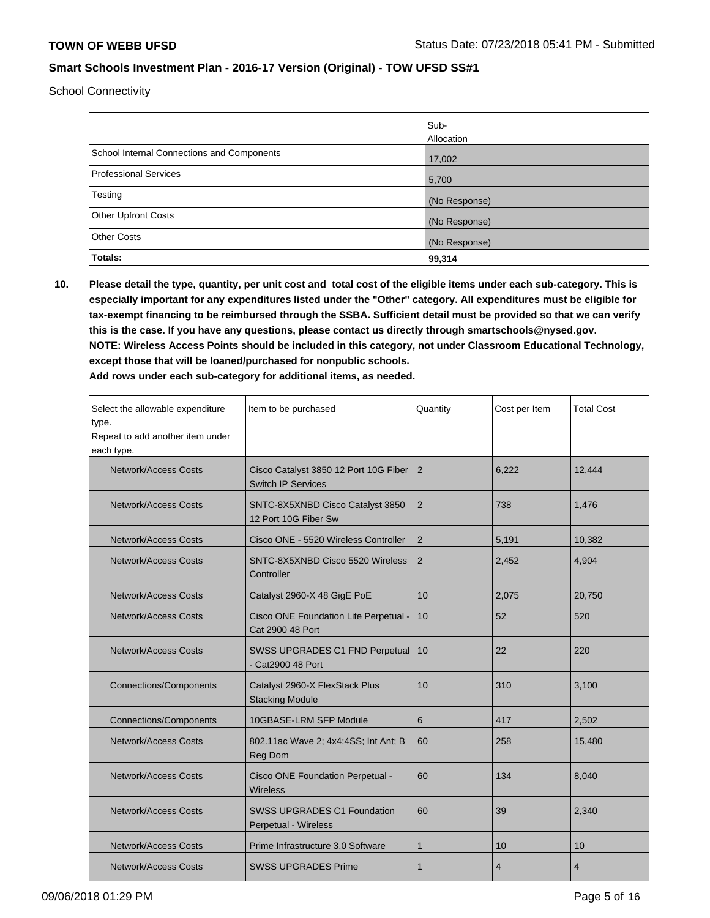School Connectivity

|                                            | Sub-<br><b>Allocation</b> |
|--------------------------------------------|---------------------------|
| School Internal Connections and Components | 17,002                    |
| <b>Professional Services</b>               | 5,700                     |
| Testing                                    | (No Response)             |
| Other Upfront Costs                        | (No Response)             |
| <b>Other Costs</b>                         | (No Response)             |
| Totals:                                    | 99,314                    |

**10. Please detail the type, quantity, per unit cost and total cost of the eligible items under each sub-category. This is especially important for any expenditures listed under the "Other" category. All expenditures must be eligible for tax-exempt financing to be reimbursed through the SSBA. Sufficient detail must be provided so that we can verify this is the case. If you have any questions, please contact us directly through smartschools@nysed.gov. NOTE: Wireless Access Points should be included in this category, not under Classroom Educational Technology, except those that will be loaned/purchased for nonpublic schools.**

| Select the allowable expenditure<br>type.<br>Repeat to add another item under<br>each type. | Item to be purchased                                               | Quantity       | Cost per Item  | <b>Total Cost</b> |
|---------------------------------------------------------------------------------------------|--------------------------------------------------------------------|----------------|----------------|-------------------|
| <b>Network/Access Costs</b>                                                                 | Cisco Catalyst 3850 12 Port 10G Fiber<br><b>Switch IP Services</b> | 2              | 6,222          | 12,444            |
| Network/Access Costs                                                                        | SNTC-8X5XNBD Cisco Catalyst 3850<br>12 Port 10G Fiber Sw           | 2              | 738            | 1,476             |
| <b>Network/Access Costs</b>                                                                 | Cisco ONE - 5520 Wireless Controller                               | $\overline{2}$ | 5,191          | 10,382            |
| <b>Network/Access Costs</b>                                                                 | SNTC-8X5XNBD Cisco 5520 Wireless<br>Controller                     | 2              | 2,452          | 4,904             |
| Network/Access Costs                                                                        | Catalyst 2960-X 48 GigE PoE                                        | 10             | 2,075          | 20,750            |
| <b>Network/Access Costs</b>                                                                 | Cisco ONE Foundation Lite Perpetual -<br>Cat 2900 48 Port          | 10             | 52             | 520               |
| Network/Access Costs                                                                        | SWSS UPGRADES C1 FND Perpetual<br>- Cat2900 48 Port                | 10             | 22             | 220               |
| <b>Connections/Components</b>                                                               | Catalyst 2960-X FlexStack Plus<br><b>Stacking Module</b>           | 10             | 310            | 3,100             |
| <b>Connections/Components</b>                                                               | 10GBASE-LRM SFP Module                                             | 6              | 417            | 2,502             |
| <b>Network/Access Costs</b>                                                                 | 802.11ac Wave 2; 4x4:4SS; Int Ant; B<br>Reg Dom                    | 60             | 258            | 15,480            |
| <b>Network/Access Costs</b>                                                                 | Cisco ONE Foundation Perpetual -<br><b>Wireless</b>                | 60             | 134            | 8,040             |
| <b>Network/Access Costs</b>                                                                 | <b>SWSS UPGRADES C1 Foundation</b><br>Perpetual - Wireless         | 60             | 39             | 2,340             |
| <b>Network/Access Costs</b>                                                                 | Prime Infrastructure 3.0 Software                                  | 1              | 10             | 10                |
| Network/Access Costs                                                                        | <b>SWSS UPGRADES Prime</b>                                         | 1              | $\overline{4}$ | $\overline{4}$    |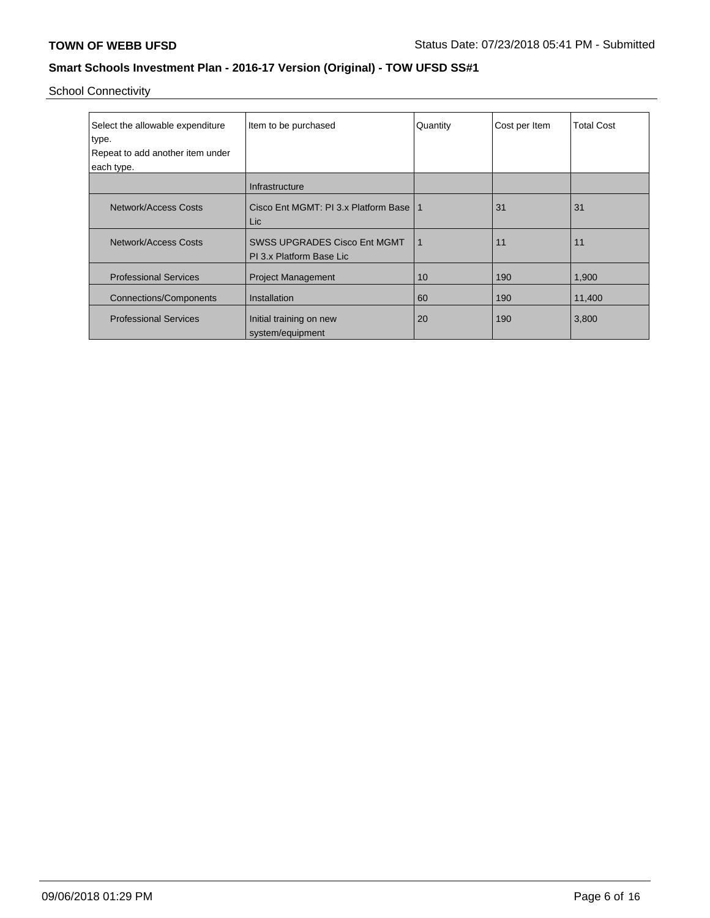School Connectivity

| Select the allowable expenditure<br>type.<br>Repeat to add another item under<br>each type. | Item to be purchased                                            | Quantity | Cost per Item | <b>Total Cost</b> |
|---------------------------------------------------------------------------------------------|-----------------------------------------------------------------|----------|---------------|-------------------|
|                                                                                             | Infrastructure                                                  |          |               |                   |
| Network/Access Costs                                                                        | Cisco Ent MGMT: PI 3.x Platform Base<br>Lic.                    | 1        | 31            | 31                |
| Network/Access Costs                                                                        | <b>SWSS UPGRADES Cisco Ent MGMT</b><br>PI 3.x Platform Base Lic | 1        | 11            | 11                |
| <b>Professional Services</b>                                                                | <b>Project Management</b>                                       | 10       | 190           | 1,900             |
| Connections/Components                                                                      | Installation                                                    | 60       | 190           | 11,400            |
| <b>Professional Services</b>                                                                | Initial training on new<br>system/equipment                     | 20       | 190           | 3,800             |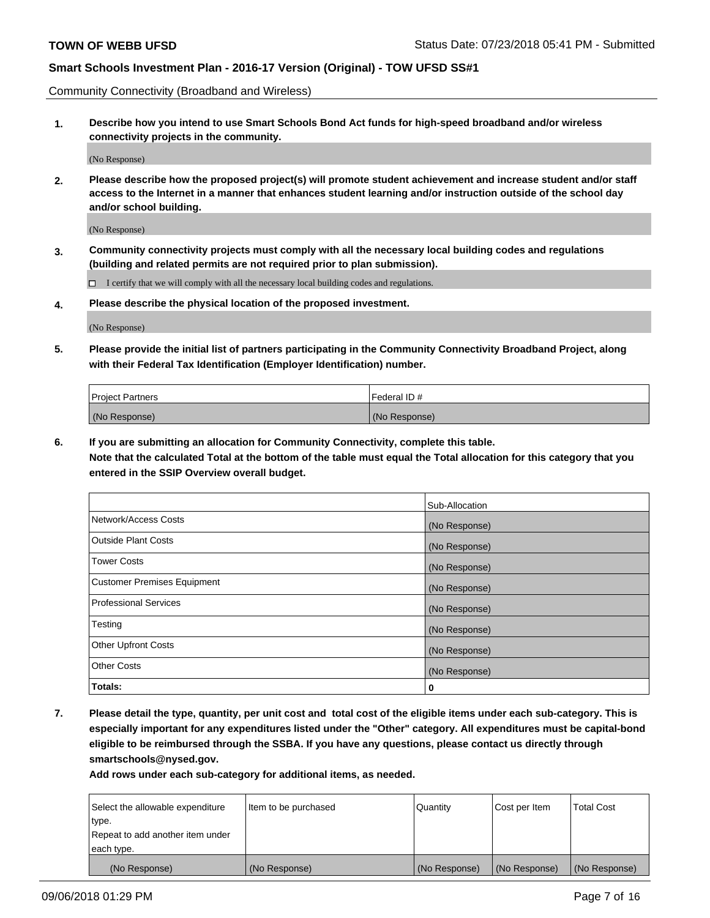Community Connectivity (Broadband and Wireless)

**1. Describe how you intend to use Smart Schools Bond Act funds for high-speed broadband and/or wireless connectivity projects in the community.**

(No Response)

**2. Please describe how the proposed project(s) will promote student achievement and increase student and/or staff access to the Internet in a manner that enhances student learning and/or instruction outside of the school day and/or school building.**

(No Response)

**3. Community connectivity projects must comply with all the necessary local building codes and regulations (building and related permits are not required prior to plan submission).**

 $\Box$  I certify that we will comply with all the necessary local building codes and regulations.

**4. Please describe the physical location of the proposed investment.**

(No Response)

**5. Please provide the initial list of partners participating in the Community Connectivity Broadband Project, along with their Federal Tax Identification (Employer Identification) number.**

| <b>Project Partners</b> | l Federal ID # |
|-------------------------|----------------|
| (No Response)           | (No Response)  |

**6. If you are submitting an allocation for Community Connectivity, complete this table.**

**Note that the calculated Total at the bottom of the table must equal the Total allocation for this category that you entered in the SSIP Overview overall budget.**

|                                    | Sub-Allocation |
|------------------------------------|----------------|
| Network/Access Costs               | (No Response)  |
| <b>Outside Plant Costs</b>         | (No Response)  |
| <b>Tower Costs</b>                 | (No Response)  |
| <b>Customer Premises Equipment</b> | (No Response)  |
| <b>Professional Services</b>       | (No Response)  |
| Testing                            | (No Response)  |
| <b>Other Upfront Costs</b>         | (No Response)  |
| <b>Other Costs</b>                 | (No Response)  |
| Totals:                            | 0              |

**7. Please detail the type, quantity, per unit cost and total cost of the eligible items under each sub-category. This is especially important for any expenditures listed under the "Other" category. All expenditures must be capital-bond eligible to be reimbursed through the SSBA. If you have any questions, please contact us directly through smartschools@nysed.gov.**

| Select the allowable expenditure | Item to be purchased | Quantity      | Cost per Item | <b>Total Cost</b> |
|----------------------------------|----------------------|---------------|---------------|-------------------|
| type.                            |                      |               |               |                   |
| Repeat to add another item under |                      |               |               |                   |
| each type.                       |                      |               |               |                   |
| (No Response)                    | (No Response)        | (No Response) | (No Response) | (No Response)     |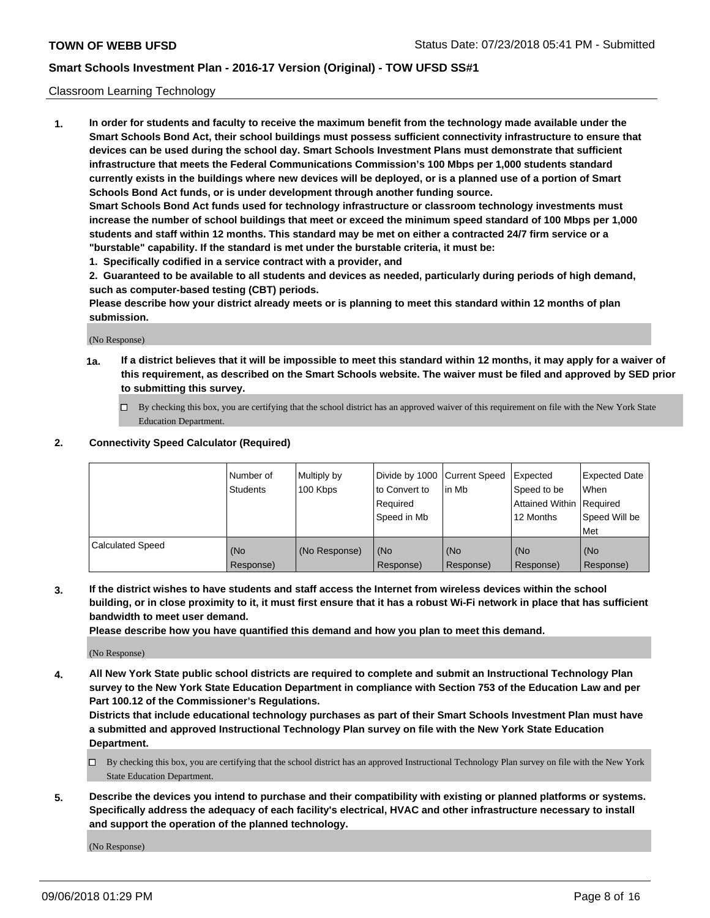#### Classroom Learning Technology

**1. In order for students and faculty to receive the maximum benefit from the technology made available under the Smart Schools Bond Act, their school buildings must possess sufficient connectivity infrastructure to ensure that devices can be used during the school day. Smart Schools Investment Plans must demonstrate that sufficient infrastructure that meets the Federal Communications Commission's 100 Mbps per 1,000 students standard currently exists in the buildings where new devices will be deployed, or is a planned use of a portion of Smart Schools Bond Act funds, or is under development through another funding source. Smart Schools Bond Act funds used for technology infrastructure or classroom technology investments must increase the number of school buildings that meet or exceed the minimum speed standard of 100 Mbps per 1,000**

**students and staff within 12 months. This standard may be met on either a contracted 24/7 firm service or a "burstable" capability. If the standard is met under the burstable criteria, it must be:**

**1. Specifically codified in a service contract with a provider, and**

**2. Guaranteed to be available to all students and devices as needed, particularly during periods of high demand, such as computer-based testing (CBT) periods.**

**Please describe how your district already meets or is planning to meet this standard within 12 months of plan submission.**

(No Response)

- **1a. If a district believes that it will be impossible to meet this standard within 12 months, it may apply for a waiver of this requirement, as described on the Smart Schools website. The waiver must be filed and approved by SED prior to submitting this survey.**
	- By checking this box, you are certifying that the school district has an approved waiver of this requirement on file with the New York State Education Department.

#### **2. Connectivity Speed Calculator (Required)**

|                         | l Number of<br>Students | Multiply by<br>100 Kbps | to Convert to<br>Required<br>Speed in Mb | Divide by 1000 Current Speed Expected<br>lin Mb | Speed to be<br>Attained Within Required<br>12 Months | <b>Expected Date</b><br>When<br>Speed Will be<br>Met |
|-------------------------|-------------------------|-------------------------|------------------------------------------|-------------------------------------------------|------------------------------------------------------|------------------------------------------------------|
| <b>Calculated Speed</b> | (No<br>Response)        | (No Response)           | (No<br>Response)                         | (No<br>Response)                                | (No<br>Response)                                     | (No<br>Response)                                     |

**3. If the district wishes to have students and staff access the Internet from wireless devices within the school building, or in close proximity to it, it must first ensure that it has a robust Wi-Fi network in place that has sufficient bandwidth to meet user demand.**

**Please describe how you have quantified this demand and how you plan to meet this demand.**

(No Response)

**4. All New York State public school districts are required to complete and submit an Instructional Technology Plan survey to the New York State Education Department in compliance with Section 753 of the Education Law and per Part 100.12 of the Commissioner's Regulations.**

**Districts that include educational technology purchases as part of their Smart Schools Investment Plan must have a submitted and approved Instructional Technology Plan survey on file with the New York State Education Department.**

- $\Box$  By checking this box, you are certifying that the school district has an approved Instructional Technology Plan survey on file with the New York State Education Department.
- **5. Describe the devices you intend to purchase and their compatibility with existing or planned platforms or systems. Specifically address the adequacy of each facility's electrical, HVAC and other infrastructure necessary to install and support the operation of the planned technology.**

(No Response)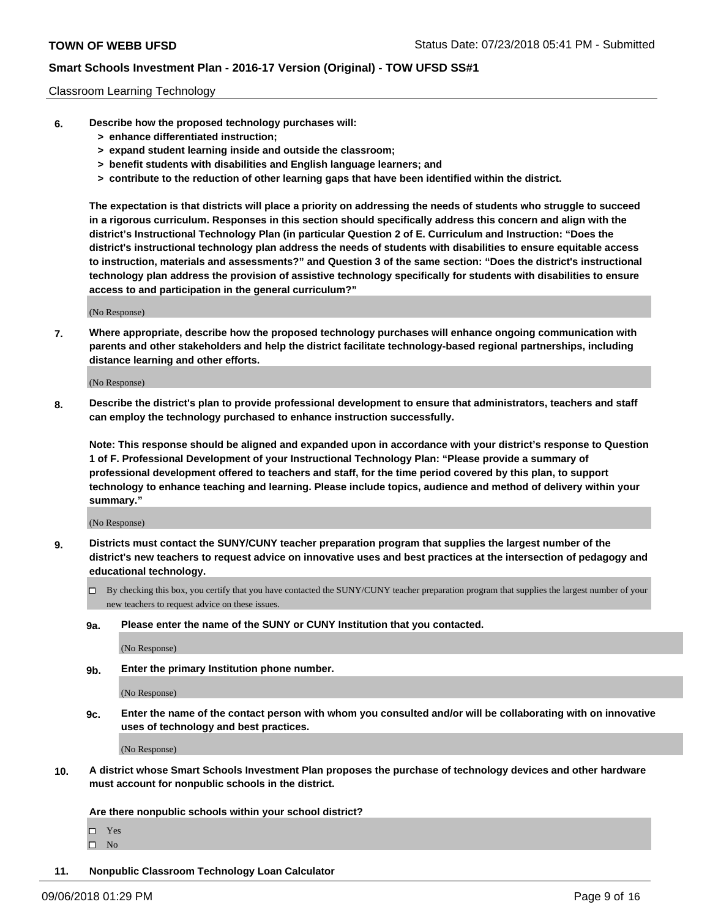#### Classroom Learning Technology

- **6. Describe how the proposed technology purchases will:**
	- **> enhance differentiated instruction;**
	- **> expand student learning inside and outside the classroom;**
	- **> benefit students with disabilities and English language learners; and**
	- **> contribute to the reduction of other learning gaps that have been identified within the district.**

**The expectation is that districts will place a priority on addressing the needs of students who struggle to succeed in a rigorous curriculum. Responses in this section should specifically address this concern and align with the district's Instructional Technology Plan (in particular Question 2 of E. Curriculum and Instruction: "Does the district's instructional technology plan address the needs of students with disabilities to ensure equitable access to instruction, materials and assessments?" and Question 3 of the same section: "Does the district's instructional technology plan address the provision of assistive technology specifically for students with disabilities to ensure access to and participation in the general curriculum?"**

(No Response)

**7. Where appropriate, describe how the proposed technology purchases will enhance ongoing communication with parents and other stakeholders and help the district facilitate technology-based regional partnerships, including distance learning and other efforts.**

(No Response)

**8. Describe the district's plan to provide professional development to ensure that administrators, teachers and staff can employ the technology purchased to enhance instruction successfully.**

**Note: This response should be aligned and expanded upon in accordance with your district's response to Question 1 of F. Professional Development of your Instructional Technology Plan: "Please provide a summary of professional development offered to teachers and staff, for the time period covered by this plan, to support technology to enhance teaching and learning. Please include topics, audience and method of delivery within your summary."**

(No Response)

- **9. Districts must contact the SUNY/CUNY teacher preparation program that supplies the largest number of the district's new teachers to request advice on innovative uses and best practices at the intersection of pedagogy and educational technology.**
	- By checking this box, you certify that you have contacted the SUNY/CUNY teacher preparation program that supplies the largest number of your new teachers to request advice on these issues.
	- **9a. Please enter the name of the SUNY or CUNY Institution that you contacted.**

(No Response)

**9b. Enter the primary Institution phone number.**

(No Response)

**9c. Enter the name of the contact person with whom you consulted and/or will be collaborating with on innovative uses of technology and best practices.**

(No Response)

**10. A district whose Smart Schools Investment Plan proposes the purchase of technology devices and other hardware must account for nonpublic schools in the district.**

**Are there nonpublic schools within your school district?**

Yes

 $\square$  No

**11. Nonpublic Classroom Technology Loan Calculator**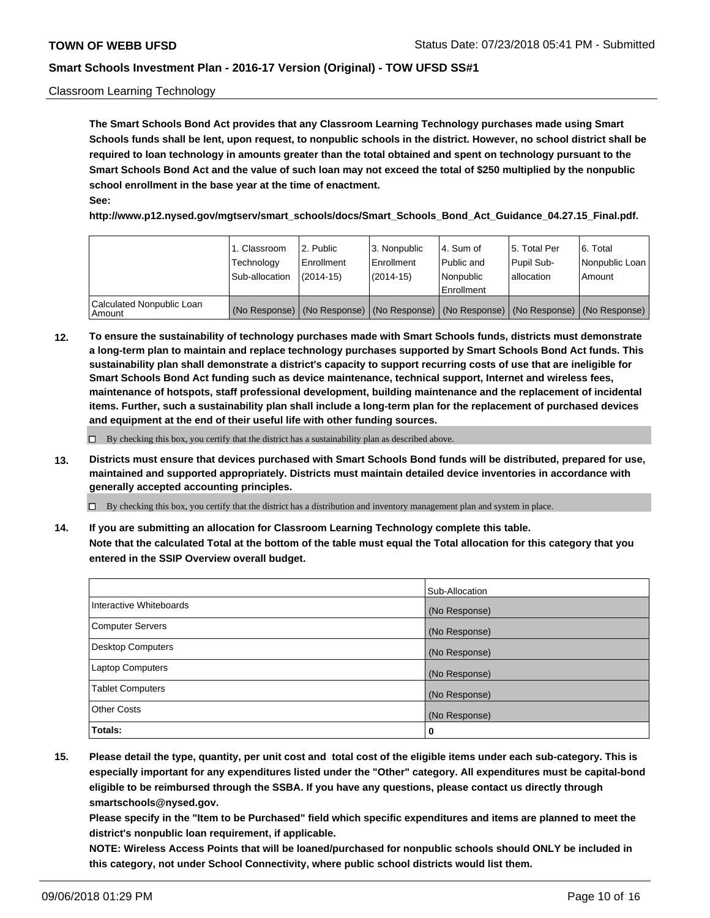#### Classroom Learning Technology

**The Smart Schools Bond Act provides that any Classroom Learning Technology purchases made using Smart Schools funds shall be lent, upon request, to nonpublic schools in the district. However, no school district shall be required to loan technology in amounts greater than the total obtained and spent on technology pursuant to the Smart Schools Bond Act and the value of such loan may not exceed the total of \$250 multiplied by the nonpublic school enrollment in the base year at the time of enactment. See:**

**http://www.p12.nysed.gov/mgtserv/smart\_schools/docs/Smart\_Schools\_Bond\_Act\_Guidance\_04.27.15\_Final.pdf.**

|                                       | 1. Classroom<br>Technology<br>Sub-allocation | 2. Public<br>l Enrollment<br>$(2014 - 15)$ | l 3. Nonpublic<br>l Enrollment<br>$(2014 - 15)$ | l 4. Sum of<br>Public and<br>l Nonpublic<br>Enrollment                                        | 15. Total Per<br>Pupil Sub-<br>l allocation | l 6. Total<br>Nonpublic Loan<br>Amount |
|---------------------------------------|----------------------------------------------|--------------------------------------------|-------------------------------------------------|-----------------------------------------------------------------------------------------------|---------------------------------------------|----------------------------------------|
| Calculated Nonpublic Loan<br>l Amount |                                              |                                            |                                                 | (No Response)   (No Response)   (No Response)   (No Response)   (No Response)   (No Response) |                                             |                                        |

**12. To ensure the sustainability of technology purchases made with Smart Schools funds, districts must demonstrate a long-term plan to maintain and replace technology purchases supported by Smart Schools Bond Act funds. This sustainability plan shall demonstrate a district's capacity to support recurring costs of use that are ineligible for Smart Schools Bond Act funding such as device maintenance, technical support, Internet and wireless fees, maintenance of hotspots, staff professional development, building maintenance and the replacement of incidental items. Further, such a sustainability plan shall include a long-term plan for the replacement of purchased devices and equipment at the end of their useful life with other funding sources.**

 $\Box$  By checking this box, you certify that the district has a sustainability plan as described above.

**13. Districts must ensure that devices purchased with Smart Schools Bond funds will be distributed, prepared for use, maintained and supported appropriately. Districts must maintain detailed device inventories in accordance with generally accepted accounting principles.**

By checking this box, you certify that the district has a distribution and inventory management plan and system in place.

**14. If you are submitting an allocation for Classroom Learning Technology complete this table. Note that the calculated Total at the bottom of the table must equal the Total allocation for this category that you entered in the SSIP Overview overall budget.**

|                         | Sub-Allocation |
|-------------------------|----------------|
| Interactive Whiteboards | (No Response)  |
| Computer Servers        | (No Response)  |
| Desktop Computers       | (No Response)  |
| <b>Laptop Computers</b> | (No Response)  |
| <b>Tablet Computers</b> | (No Response)  |
| <b>Other Costs</b>      | (No Response)  |
| Totals:                 | 0              |

**15. Please detail the type, quantity, per unit cost and total cost of the eligible items under each sub-category. This is especially important for any expenditures listed under the "Other" category. All expenditures must be capital-bond eligible to be reimbursed through the SSBA. If you have any questions, please contact us directly through smartschools@nysed.gov.**

**Please specify in the "Item to be Purchased" field which specific expenditures and items are planned to meet the district's nonpublic loan requirement, if applicable.**

**NOTE: Wireless Access Points that will be loaned/purchased for nonpublic schools should ONLY be included in this category, not under School Connectivity, where public school districts would list them.**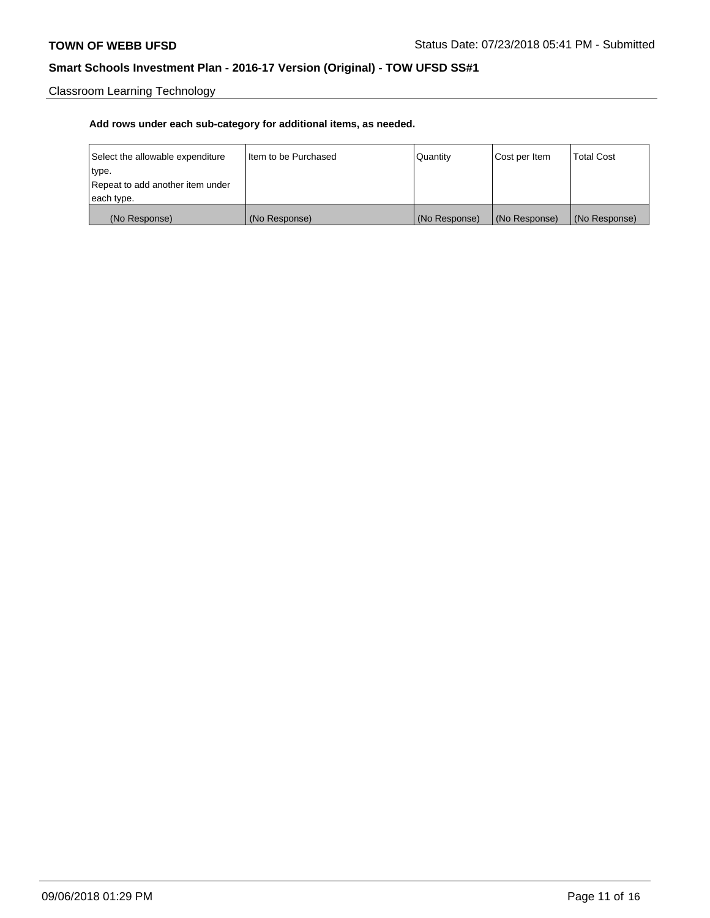Classroom Learning Technology

| Select the allowable expenditure | Iltem to be Purchased | Quantity      | Cost per Item | <b>Total Cost</b> |
|----------------------------------|-----------------------|---------------|---------------|-------------------|
| type.                            |                       |               |               |                   |
| Repeat to add another item under |                       |               |               |                   |
| each type.                       |                       |               |               |                   |
| (No Response)                    | (No Response)         | (No Response) | (No Response) | (No Response)     |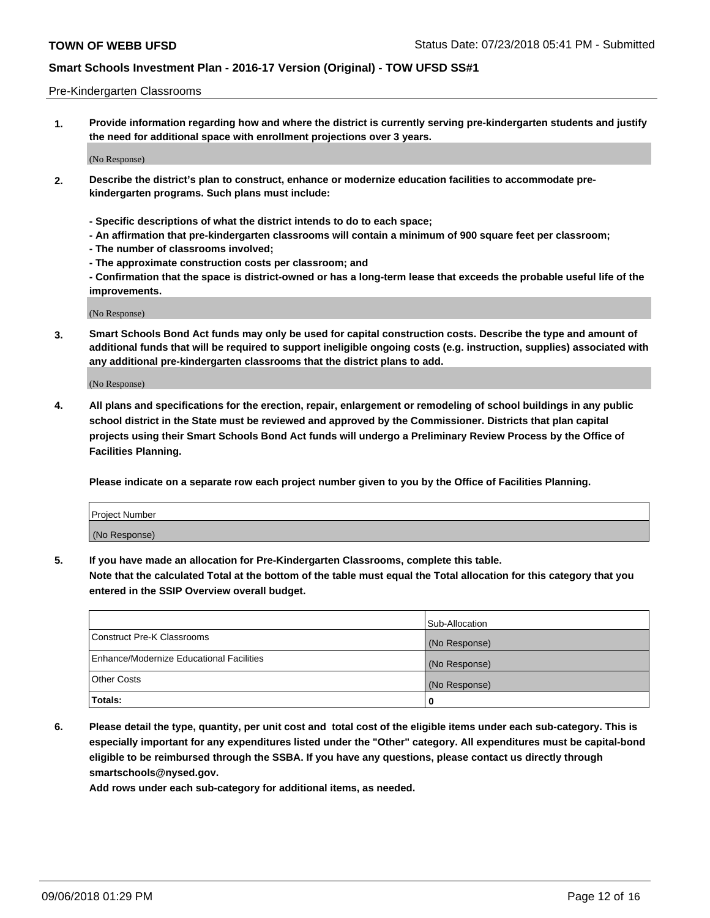#### Pre-Kindergarten Classrooms

**1. Provide information regarding how and where the district is currently serving pre-kindergarten students and justify the need for additional space with enrollment projections over 3 years.**

(No Response)

- **2. Describe the district's plan to construct, enhance or modernize education facilities to accommodate prekindergarten programs. Such plans must include:**
	- **Specific descriptions of what the district intends to do to each space;**
	- **An affirmation that pre-kindergarten classrooms will contain a minimum of 900 square feet per classroom;**
	- **The number of classrooms involved;**
	- **The approximate construction costs per classroom; and**
	- **Confirmation that the space is district-owned or has a long-term lease that exceeds the probable useful life of the improvements.**

(No Response)

**3. Smart Schools Bond Act funds may only be used for capital construction costs. Describe the type and amount of additional funds that will be required to support ineligible ongoing costs (e.g. instruction, supplies) associated with any additional pre-kindergarten classrooms that the district plans to add.**

(No Response)

**4. All plans and specifications for the erection, repair, enlargement or remodeling of school buildings in any public school district in the State must be reviewed and approved by the Commissioner. Districts that plan capital projects using their Smart Schools Bond Act funds will undergo a Preliminary Review Process by the Office of Facilities Planning.**

**Please indicate on a separate row each project number given to you by the Office of Facilities Planning.**

| Project Number |  |
|----------------|--|
| (No Response)  |  |
|                |  |

**5. If you have made an allocation for Pre-Kindergarten Classrooms, complete this table.**

**Note that the calculated Total at the bottom of the table must equal the Total allocation for this category that you entered in the SSIP Overview overall budget.**

|                                          | Sub-Allocation |
|------------------------------------------|----------------|
| Construct Pre-K Classrooms               | (No Response)  |
| Enhance/Modernize Educational Facilities | (No Response)  |
| <b>Other Costs</b>                       | (No Response)  |
| Totals:                                  | 0              |

**6. Please detail the type, quantity, per unit cost and total cost of the eligible items under each sub-category. This is especially important for any expenditures listed under the "Other" category. All expenditures must be capital-bond eligible to be reimbursed through the SSBA. If you have any questions, please contact us directly through smartschools@nysed.gov.**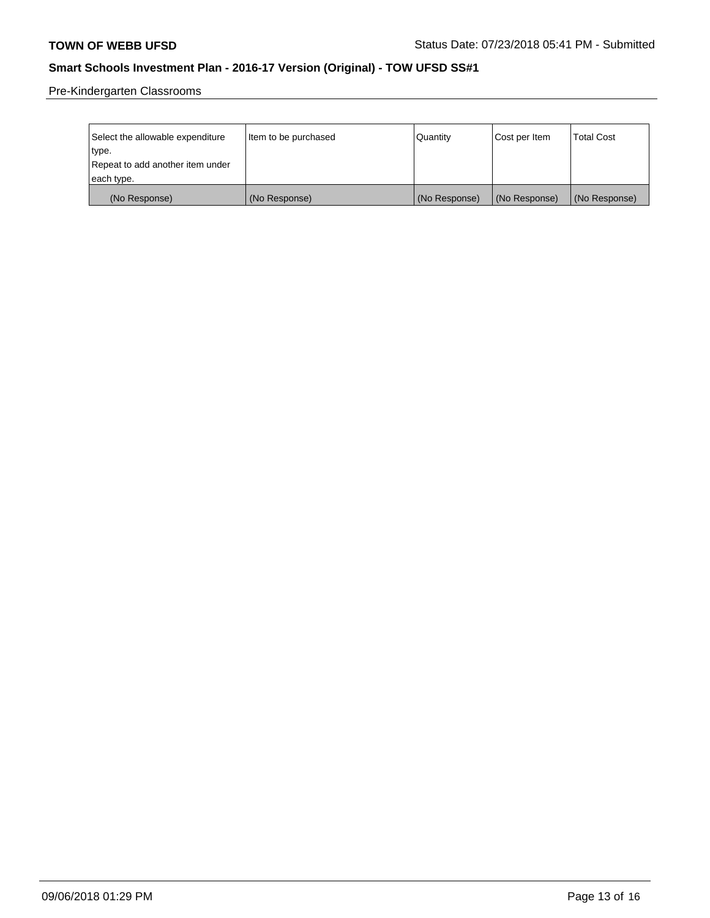Pre-Kindergarten Classrooms

| Select the allowable expenditure | Item to be purchased | Quantity      | Cost per Item | <b>Total Cost</b> |
|----------------------------------|----------------------|---------------|---------------|-------------------|
| type.                            |                      |               |               |                   |
| Repeat to add another item under |                      |               |               |                   |
| each type.                       |                      |               |               |                   |
| (No Response)                    | (No Response)        | (No Response) | (No Response) | (No Response)     |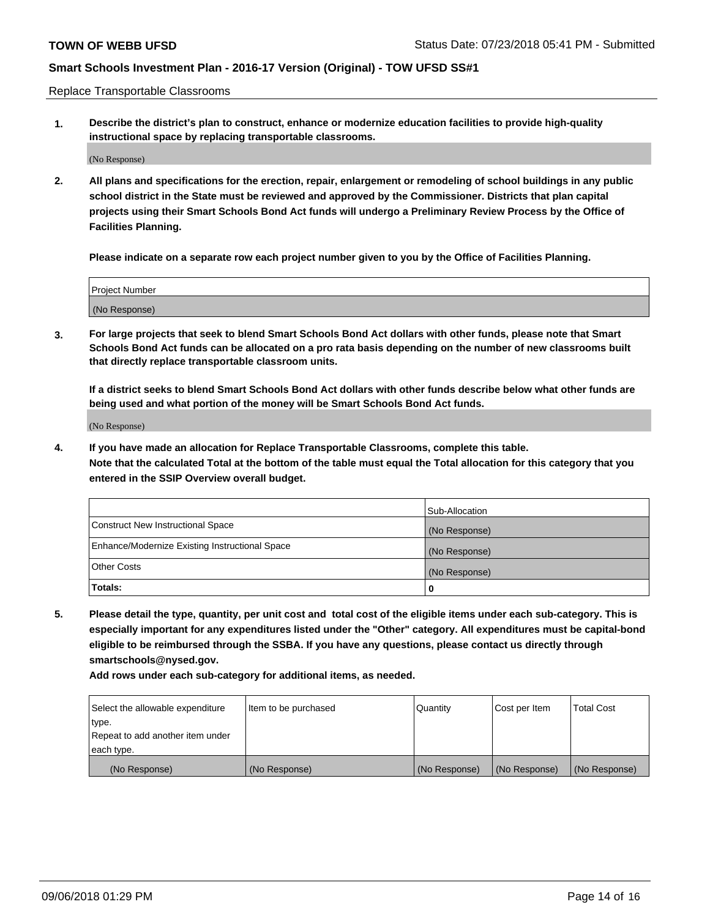Replace Transportable Classrooms

**1. Describe the district's plan to construct, enhance or modernize education facilities to provide high-quality instructional space by replacing transportable classrooms.**

(No Response)

**2. All plans and specifications for the erection, repair, enlargement or remodeling of school buildings in any public school district in the State must be reviewed and approved by the Commissioner. Districts that plan capital projects using their Smart Schools Bond Act funds will undergo a Preliminary Review Process by the Office of Facilities Planning.**

**Please indicate on a separate row each project number given to you by the Office of Facilities Planning.**

| Project Number |  |
|----------------|--|
|                |  |
|                |  |
|                |  |
|                |  |
| (No Response)  |  |
|                |  |
|                |  |
|                |  |

**3. For large projects that seek to blend Smart Schools Bond Act dollars with other funds, please note that Smart Schools Bond Act funds can be allocated on a pro rata basis depending on the number of new classrooms built that directly replace transportable classroom units.**

**If a district seeks to blend Smart Schools Bond Act dollars with other funds describe below what other funds are being used and what portion of the money will be Smart Schools Bond Act funds.**

(No Response)

**4. If you have made an allocation for Replace Transportable Classrooms, complete this table. Note that the calculated Total at the bottom of the table must equal the Total allocation for this category that you entered in the SSIP Overview overall budget.**

|                                                | Sub-Allocation |
|------------------------------------------------|----------------|
| Construct New Instructional Space              | (No Response)  |
| Enhance/Modernize Existing Instructional Space | (No Response)  |
| <b>Other Costs</b>                             | (No Response)  |
| Totals:                                        | 0              |

**5. Please detail the type, quantity, per unit cost and total cost of the eligible items under each sub-category. This is especially important for any expenditures listed under the "Other" category. All expenditures must be capital-bond eligible to be reimbursed through the SSBA. If you have any questions, please contact us directly through smartschools@nysed.gov.**

| Select the allowable expenditure | Item to be purchased | l Quantitv    | Cost per Item | <b>Total Cost</b> |
|----------------------------------|----------------------|---------------|---------------|-------------------|
| type.                            |                      |               |               |                   |
| Repeat to add another item under |                      |               |               |                   |
| each type.                       |                      |               |               |                   |
| (No Response)                    | (No Response)        | (No Response) | (No Response) | (No Response)     |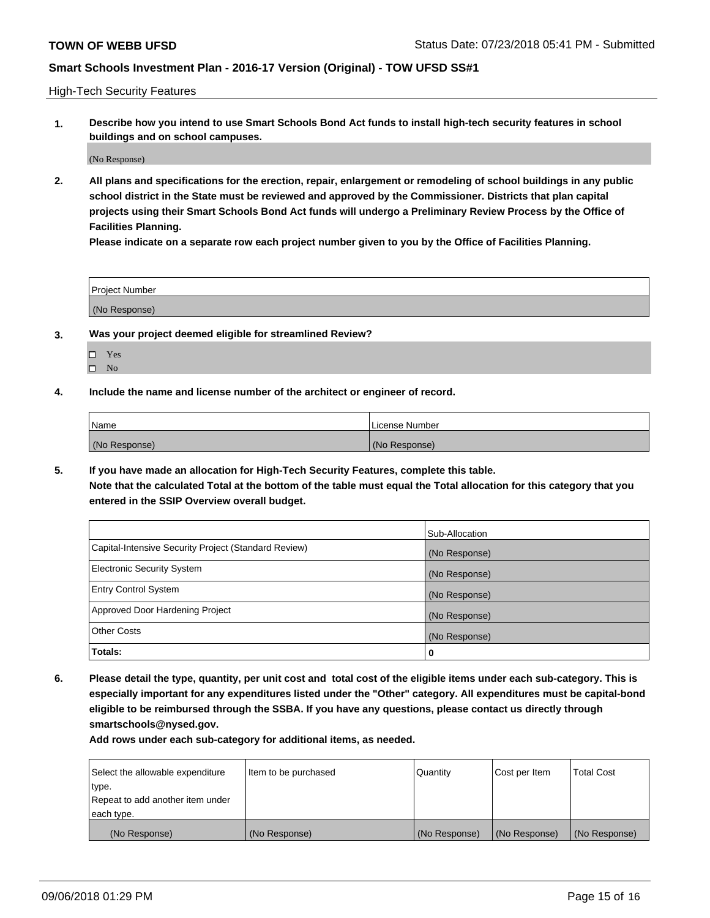High-Tech Security Features

**1. Describe how you intend to use Smart Schools Bond Act funds to install high-tech security features in school buildings and on school campuses.**

(No Response)

**2. All plans and specifications for the erection, repair, enlargement or remodeling of school buildings in any public school district in the State must be reviewed and approved by the Commissioner. Districts that plan capital projects using their Smart Schools Bond Act funds will undergo a Preliminary Review Process by the Office of Facilities Planning.** 

**Please indicate on a separate row each project number given to you by the Office of Facilities Planning.**

| <b>Project Number</b> |  |
|-----------------------|--|
| (No Response)         |  |

- **3. Was your project deemed eligible for streamlined Review?**
	- Yes
	- $\square$  No
- **4. Include the name and license number of the architect or engineer of record.**

| <b>Name</b>   | License Number |
|---------------|----------------|
| (No Response) | (No Response)  |

**5. If you have made an allocation for High-Tech Security Features, complete this table.**

**Note that the calculated Total at the bottom of the table must equal the Total allocation for this category that you entered in the SSIP Overview overall budget.**

|                                                      | Sub-Allocation |
|------------------------------------------------------|----------------|
| Capital-Intensive Security Project (Standard Review) | (No Response)  |
| <b>Electronic Security System</b>                    | (No Response)  |
| <b>Entry Control System</b>                          | (No Response)  |
| Approved Door Hardening Project                      | (No Response)  |
| <b>Other Costs</b>                                   | (No Response)  |
| Totals:                                              | 0              |

**6. Please detail the type, quantity, per unit cost and total cost of the eligible items under each sub-category. This is especially important for any expenditures listed under the "Other" category. All expenditures must be capital-bond eligible to be reimbursed through the SSBA. If you have any questions, please contact us directly through smartschools@nysed.gov.**

| Select the allowable expenditure | Item to be purchased | Quantity      | Cost per Item | <b>Total Cost</b> |
|----------------------------------|----------------------|---------------|---------------|-------------------|
| type.                            |                      |               |               |                   |
| Repeat to add another item under |                      |               |               |                   |
| each type.                       |                      |               |               |                   |
| (No Response)                    | (No Response)        | (No Response) | (No Response) | (No Response)     |